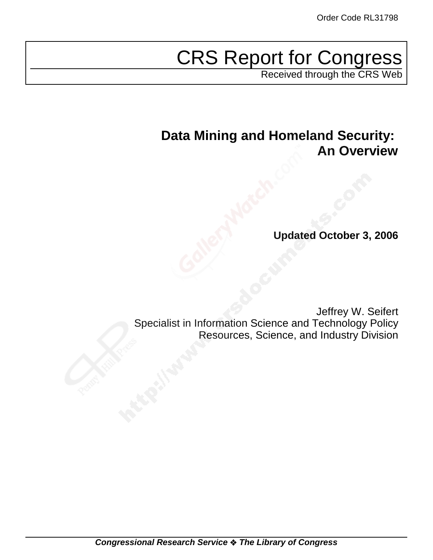# CRS Report for Congress

Received through the CRS Web

# **Data Mining and Homeland Security: An Overview**

**Updated October 3, 2006**

Jeffrey W. Seifert Specialist in Information Science and Technology Policy Resources, Science, and Industry Division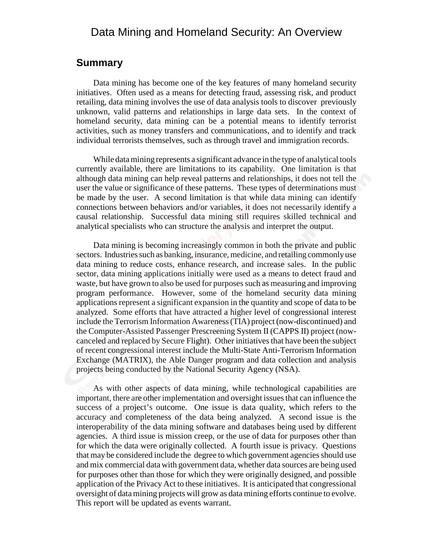# Data Mining and Homeland Security: An Overview

#### **Summary**

Data mining has become one of the key features of many homeland security initiatives. Often used as a means for detecting fraud, assessing risk, and product retailing, data mining involves the use of data analysis tools to discover previously unknown, valid patterns and relationships in large data sets. In the context of homeland security, data mining can be a potential means to identify terrorist activities, such as money transfers and communications, and to identify and track individual terrorists themselves, such as through travel and immigration records.

While data mining represents a significant advance in the type of analytical tools currently available, there are limitations to its capability. One limitation is that although data mining can help reveal patterns and relationships, it does not tell the user the value or significance of these patterns. These types of determinations must be made by the user. A second limitation is that while data mining can identify connections between behaviors and/or variables, it does not necessarily identify a causal relationship. Successful data mining still requires skilled technical and analytical specialists who can structure the analysis and interpret the output.

Data mining is becoming increasingly common in both the private and public sectors. Industries such as banking, insurance, medicine, and retailing commonly use data mining to reduce costs, enhance research, and increase sales. In the public sector, data mining applications initially were used as a means to detect fraud and waste, but have grown to also be used for purposes such as measuring and improving program performance. However, some of the homeland security data mining applications represent a significant expansion in the quantity and scope of data to be analyzed. Some efforts that have attracted a higher level of congressional interest include the Terrorism Information Awareness (TIA) project (now-discontinued) and the Computer-Assisted Passenger Prescreening System II (CAPPS II) project (nowcanceled and replaced by Secure Flight). Other initiatives that have been the subject of recent congressional interest include the Multi-State Anti-Terrorism Information Exchange (MATRIX), the Able Danger program and data collection and analysis projects being conducted by the National Security Agency (NSA).

As with other aspects of data mining, while technological capabilities are important, there are other implementation and oversight issues that can influence the success of a project's outcome. One issue is data quality, which refers to the accuracy and completeness of the data being analyzed. A second issue is the interoperability of the data mining software and databases being used by different agencies. A third issue is mission creep, or the use of data for purposes other than for which the data were originally collected. A fourth issue is privacy. Questions that may be considered include the degree to which government agencies should use and mix commercial data with government data, whether data sources are being used for purposes other than those for which they were originally designed, and possible application of the Privacy Act to these initiatives. It is anticipated that congressional oversight of data mining projects will grow as data mining efforts continue to evolve. This report will be updated as events warrant.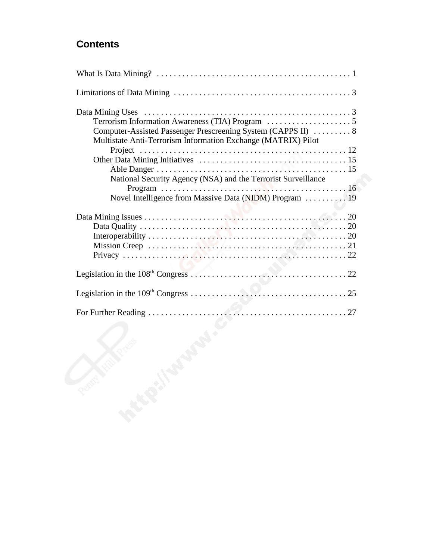# **Contents**

| Computer-Assisted Passenger Prescreening System (CAPPS II)  8<br>Multistate Anti-Terrorism Information Exchange (MATRIX) Pilot<br>National Security Agency (NSA) and the Terrorist Surveillance |
|-------------------------------------------------------------------------------------------------------------------------------------------------------------------------------------------------|
| Novel Intelligence from Massive Data (NIDM) Program  19                                                                                                                                         |
|                                                                                                                                                                                                 |
|                                                                                                                                                                                                 |
|                                                                                                                                                                                                 |
| <b>PERP</b>                                                                                                                                                                                     |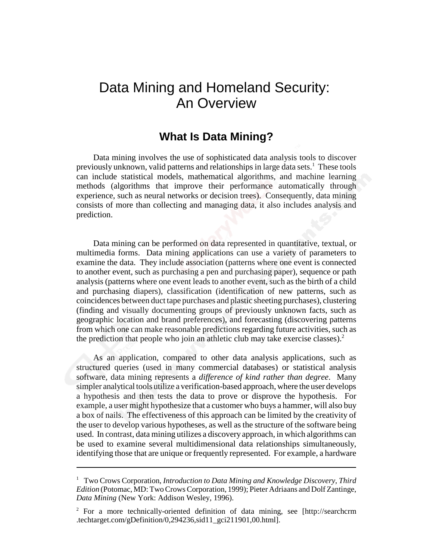# Data Mining and Homeland Security: An Overview

## **What Is Data Mining?**

Data mining involves the use of sophisticated data analysis tools to discover previously unknown, valid patterns and relationships in large data sets.<sup>1</sup> These tools can include statistical models, mathematical algorithms, and machine learning methods (algorithms that improve their performance automatically through experience, such as neural networks or decision trees). Consequently, data mining consists of more than collecting and managing data, it also includes analysis and prediction.

Data mining can be performed on data represented in quantitative, textual, or multimedia forms. Data mining applications can use a variety of parameters to examine the data. They include association (patterns where one event is connected to another event, such as purchasing a pen and purchasing paper), sequence or path analysis (patterns where one event leads to another event, such as the birth of a child and purchasing diapers), classification (identification of new patterns, such as coincidences between duct tape purchases and plastic sheeting purchases), clustering (finding and visually documenting groups of previously unknown facts, such as geographic location and brand preferences), and forecasting (discovering patterns from which one can make reasonable predictions regarding future activities, such as the prediction that people who join an athletic club may take exercise classes). $2$ 

As an application, compared to other data analysis applications, such as structured queries (used in many commercial databases) or statistical analysis software, data mining represents a *difference of kind rather than degree*. Many simpler analytical tools utilize a verification-based approach, where the user develops a hypothesis and then tests the data to prove or disprove the hypothesis. For example, a user might hypothesize that a customer who buys a hammer, will also buy a box of nails. The effectiveness of this approach can be limited by the creativity of the user to develop various hypotheses, as well as the structure of the software being used. In contrast, data mining utilizes a discovery approach, in which algorithms can be used to examine several multidimensional data relationships simultaneously, identifying those that are unique or frequently represented. For example, a hardware

<sup>&</sup>lt;sup>1</sup> Two Crows Corporation, *Introduction to Data Mining and Knowledge Discovery, Third Edition* (Potomac, MD: Two Crows Corporation, 1999); Pieter Adriaans and Dolf Zantinge, *Data Mining* (New York: Addison Wesley, 1996).

<sup>&</sup>lt;sup>2</sup> For a more technically-oriented definition of data mining, see [http://searchcrm .techtarget.com/gDefinition/0,294236,sid11\_gci211901,00.html].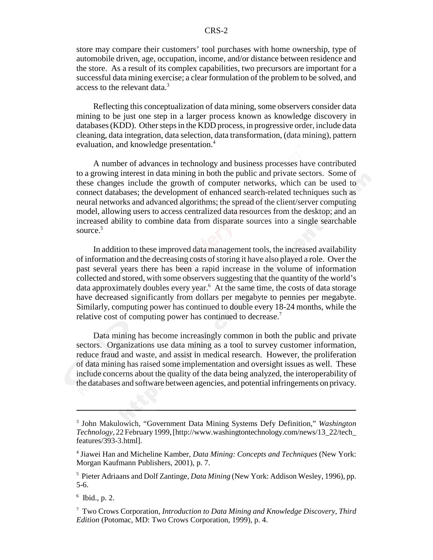store may compare their customers' tool purchases with home ownership, type of automobile driven, age, occupation, income, and/or distance between residence and the store. As a result of its complex capabilities, two precursors are important for a successful data mining exercise; a clear formulation of the problem to be solved, and access to the relevant data. $3$ 

Reflecting this conceptualization of data mining, some observers consider data mining to be just one step in a larger process known as knowledge discovery in databases (KDD). Other steps in the KDD process, in progressive order, include data cleaning, data integration, data selection, data transformation, (data mining), pattern evaluation, and knowledge presentation.<sup>4</sup>

A number of advances in technology and business processes have contributed to a growing interest in data mining in both the public and private sectors. Some of these changes include the growth of computer networks, which can be used to connect databases; the development of enhanced search-related techniques such as neural networks and advanced algorithms; the spread of the client/server computing model, allowing users to access centralized data resources from the desktop; and an increased ability to combine data from disparate sources into a single searchable source.<sup>5</sup>

In addition to these improved data management tools, the increased availability of information and the decreasing costs of storing it have also played a role. Over the past several years there has been a rapid increase in the volume of information collected and stored, with some observers suggesting that the quantity of the world's data approximately doubles every year.<sup>6</sup> At the same time, the costs of data storage have decreased significantly from dollars per megabyte to pennies per megabyte. Similarly, computing power has continued to double every 18-24 months, while the relative cost of computing power has continued to decrease.<sup>7</sup>

Data mining has become increasingly common in both the public and private sectors. Organizations use data mining as a tool to survey customer information, reduce fraud and waste, and assist in medical research. However, the proliferation of data mining has raised some implementation and oversight issues as well. These include concerns about the quality of the data being analyzed, the interoperability of the databases and software between agencies, and potential infringements on privacy.

<sup>3</sup> John Makulowich, "Government Data Mining Systems Defy Definition," *Washington Technology*, 22 February 1999, [http://www.washingtontechnology.com/news/13\_22/tech\_ features/393-3.html].

<sup>4</sup> Jiawei Han and Micheline Kamber, *Data Mining: Concepts and Techniques* (New York: Morgan Kaufmann Publishers, 2001), p. 7.

<sup>5</sup> Pieter Adriaans and Dolf Zantinge, *Data Mining* (New York: Addison Wesley, 1996), pp. 5-6.

<sup>6</sup> Ibid., p. 2.

<sup>7</sup> Two Crows Corporation, *Introduction to Data Mining and Knowledge Discovery, Third Edition* (Potomac, MD: Two Crows Corporation, 1999), p. 4.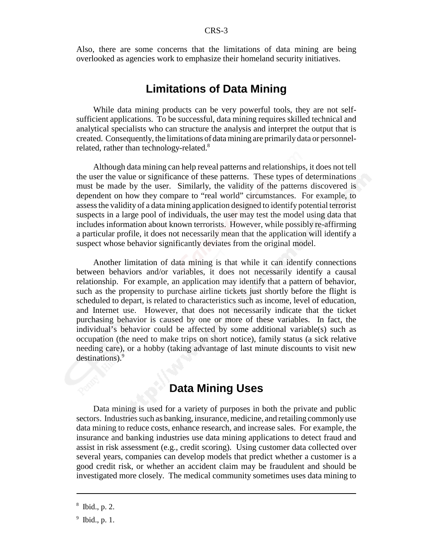Also, there are some concerns that the limitations of data mining are being overlooked as agencies work to emphasize their homeland security initiatives.

## **Limitations of Data Mining**

While data mining products can be very powerful tools, they are not selfsufficient applications. To be successful, data mining requires skilled technical and analytical specialists who can structure the analysis and interpret the output that is created. Consequently, the limitations of data mining are primarily data or personnelrelated, rather than technology-related.<sup>8</sup>

Although data mining can help reveal patterns and relationships, it does not tell the user the value or significance of these patterns. These types of determinations must be made by the user. Similarly, the validity of the patterns discovered is dependent on how they compare to "real world" circumstances. For example, to assess the validity of a data mining application designed to identify potential terrorist suspects in a large pool of individuals, the user may test the model using data that includes information about known terrorists. However, while possibly re-affirming a particular profile, it does not necessarily mean that the application will identify a suspect whose behavior significantly deviates from the original model.

Another limitation of data mining is that while it can identify connections between behaviors and/or variables, it does not necessarily identify a causal relationship. For example, an application may identify that a pattern of behavior, such as the propensity to purchase airline tickets just shortly before the flight is scheduled to depart, is related to characteristics such as income, level of education, and Internet use. However, that does not necessarily indicate that the ticket purchasing behavior is caused by one or more of these variables. In fact, the individual's behavior could be affected by some additional variable(s) such as occupation (the need to make trips on short notice), family status (a sick relative needing care), or a hobby (taking advantage of last minute discounts to visit new destinations).<sup>9</sup>

# **Data Mining Uses**

Data mining is used for a variety of purposes in both the private and public sectors. Industries such as banking, insurance, medicine, and retailing commonly use data mining to reduce costs, enhance research, and increase sales. For example, the insurance and banking industries use data mining applications to detect fraud and assist in risk assessment (e.g., credit scoring). Using customer data collected over several years, companies can develop models that predict whether a customer is a good credit risk, or whether an accident claim may be fraudulent and should be investigated more closely. The medical community sometimes uses data mining to

<sup>8</sup> Ibid., p. 2.

<sup>9</sup> Ibid., p. 1.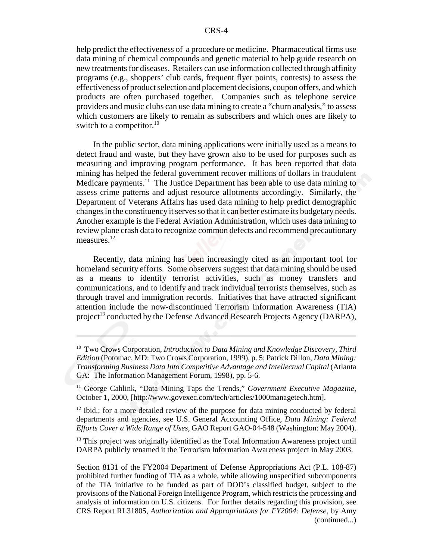help predict the effectiveness of a procedure or medicine. Pharmaceutical firms use data mining of chemical compounds and genetic material to help guide research on new treatments for diseases. Retailers can use information collected through affinity programs (e.g., shoppers' club cards, frequent flyer points, contests) to assess the effectiveness of product selection and placement decisions, coupon offers, and which products are often purchased together. Companies such as telephone service providers and music clubs can use data mining to create a "churn analysis," to assess which customers are likely to remain as subscribers and which ones are likely to switch to a competitor. $10$ 

In the public sector, data mining applications were initially used as a means to detect fraud and waste, but they have grown also to be used for purposes such as measuring and improving program performance. It has been reported that data mining has helped the federal government recover millions of dollars in fraudulent Medicare payments.<sup>11</sup> The Justice Department has been able to use data mining to assess crime patterns and adjust resource allotments accordingly. Similarly, the Department of Veterans Affairs has used data mining to help predict demographic changes in the constituency it serves so that it can better estimate its budgetary needs. Another example is the Federal Aviation Administration, which uses data mining to review plane crash data to recognize common defects and recommend precautionary measures. $^{12}$ 

Recently, data mining has been increasingly cited as an important tool for homeland security efforts. Some observers suggest that data mining should be used as a means to identify terrorist activities, such as money transfers and communications, and to identify and track individual terrorists themselves, such as through travel and immigration records. Initiatives that have attracted significant attention include the now-discontinued Terrorism Information Awareness (TIA) project<sup>13</sup> conducted by the Defense Advanced Research Projects Agency (DARPA),

 $<sup>13</sup>$  This project was originally identified as the Total Information Awareness project until</sup> DARPA publicly renamed it the Terrorism Information Awareness project in May 2003.

Section 8131 of the FY2004 Department of Defense Appropriations Act (P.L. 108-87) prohibited further funding of TIA as a whole, while allowing unspecified subcomponents of the TIA initiative to be funded as part of DOD's classified budget, subject to the provisions of the National Foreign Intelligence Program, which restricts the processing and analysis of information on U.S. citizens. For further details regarding this provision, see CRS Report RL31805, *Authorization and Appropriations for FY2004: Defense*, by Amy (continued...)

<sup>10</sup> Two Crows Corporation, *Introduction to Data Mining and Knowledge Discovery, Third Edition* (Potomac, MD: Two Crows Corporation, 1999), p. 5; Patrick Dillon, *Data Mining: Transforming Business Data Into Competitive Advantage and Intellectual Capital* (Atlanta GA: The Information Management Forum, 1998), pp. 5-6.

<sup>&</sup>lt;sup>11</sup> George Cahlink, "Data Mining Taps the Trends," *Government Executive Magazine*, October 1, 2000, [http://www.govexec.com/tech/articles/1000managetech.htm].

 $12$  Ibid.; for a more detailed review of the purpose for data mining conducted by federal departments and agencies, see U.S. General Accounting Office, *Data Mining: Federal Efforts Cover a Wide Range of Uses*, GAO Report GAO-04-548 (Washington: May 2004).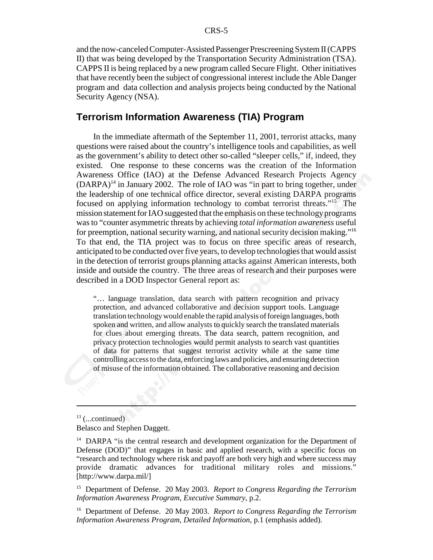and the now-canceled Computer-Assisted Passenger Prescreening System II (CAPPS II) that was being developed by the Transportation Security Administration (TSA). CAPPS II is being replaced by a new program called Secure Flight. Other initiatives that have recently been the subject of congressional interest include the Able Danger program and data collection and analysis projects being conducted by the National Security Agency (NSA).

#### **Terrorism Information Awareness (TIA) Program**

In the immediate aftermath of the September 11, 2001, terrorist attacks, many questions were raised about the country's intelligence tools and capabilities, as well as the government's ability to detect other so-called "sleeper cells," if, indeed, they existed. One response to these concerns was the creation of the Information Awareness Office (IAO) at the Defense Advanced Research Projects Agency  $(DARPA)^{14}$  in January 2002. The role of IAO was "in part to bring together, under the leadership of one technical office director, several existing DARPA programs focused on applying information technology to combat terrorist threats."15 The mission statement for IAO suggested that the emphasis on these technology programs was to "counter asymmetric threats by achieving *total information awareness* useful for preemption, national security warning, and national security decision making."16 To that end, the TIA project was to focus on three specific areas of research, anticipated to be conducted over five years, to develop technologies that would assist in the detection of terrorist groups planning attacks against American interests, both inside and outside the country. The three areas of research and their purposes were described in a DOD Inspector General report as:

"… language translation, data search with pattern recognition and privacy protection, and advanced collaborative and decision support tools. Language translation technology would enable the rapid analysis of foreign languages, both spoken and written, and allow analysts to quickly search the translated materials for clues about emerging threats. The data search, pattern recognition, and privacy protection technologies would permit analysts to search vast quantities of data for patterns that suggest terrorist activity while at the same time controlling access to the data, enforcing laws and policies, and ensuring detection of misuse of the information obtained. The collaborative reasoning and decision

 $13$  (...continued)

Belasco and Stephen Daggett.

<sup>&</sup>lt;sup>14</sup> DARPA "is the central research and development organization for the Department of Defense (DOD)" that engages in basic and applied research, with a specific focus on "research and technology where risk and payoff are both very high and where success may provide dramatic advances for traditional military roles and missions." [http://www.darpa.mil/]

<sup>15</sup> Department of Defense. 20 May 2003. *Report to Congress Regarding the Terrorism Information Awareness Program, Executive Summary*, p.2.

<sup>16</sup> Department of Defense. 20 May 2003. *Report to Congress Regarding the Terrorism Information Awareness Program, Detailed Information*, p.1 (emphasis added).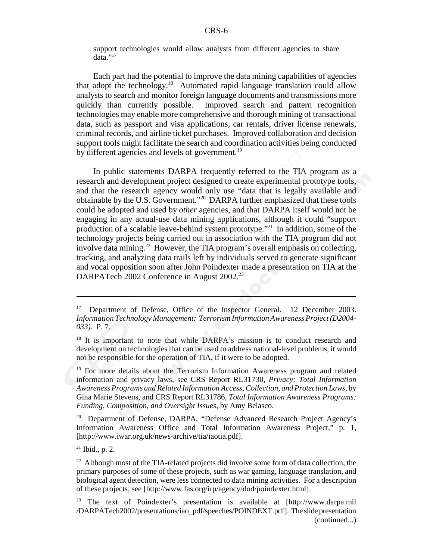support technologies would allow analysts from different agencies to share data."17

Each part had the potential to improve the data mining capabilities of agencies that adopt the technology.18 Automated rapid language translation could allow analysts to search and monitor foreign language documents and transmissions more quickly than currently possible. Improved search and pattern recognition technologies may enable more comprehensive and thorough mining of transactional data, such as passport and visa applications, car rentals, driver license renewals, criminal records, and airline ticket purchases. Improved collaboration and decision support tools might facilitate the search and coordination activities being conducted by different agencies and levels of government.<sup>19</sup>

In public statements DARPA frequently referred to the TIA program as a research and development project designed to create experimental prototype tools, and that the research agency would only use "data that is legally available and obtainable by the U.S. Government."20 DARPA further emphasized that these tools could be adopted and used by *other* agencies, and that DARPA itself would not be engaging in any actual-use data mining applications, although it could "support production of a scalable leave-behind system prototype."21 In addition, some of the technology projects being carried out in association with the TIA program did not involve data mining.<sup>22</sup> However, the TIA program's overall emphasis on collecting, tracking, and analyzing data trails left by individuals served to generate significant and vocal opposition soon after John Poindexter made a presentation on TIA at the DARPATech 2002 Conference in August 2002.<sup>23</sup>

19 For more details about the Terrorism Information Awareness program and related information and privacy laws, see CRS Report RL31730, *Privacy: Total Information Awareness Programs and Related Information Access, Collection, and Protection Laws*, by Gina Marie Stevens, and CRS Report RL31786, *Total Information Awareness Programs: Funding, Composition, and Oversight Issues*, by Amy Belasco.

<sup>20</sup> Department of Defense, DARPA, "Defense Advanced Research Project Agency's Information Awareness Office and Total Information Awareness Project," p. 1, [http://www.iwar.org.uk/news-archive/tia/iaotia.pdf].

 $21$  Ibid., p. 2.

<sup>&</sup>lt;sup>17</sup> Department of Defense, Office of the Inspector General. 12 December 2003. *Information Technology Management: Terrorism Information Awareness Project (D2004- 033)*. P. 7.

<sup>&</sup>lt;sup>18</sup> It is important to note that while DARPA's mission is to conduct research and development on technologies that can be used to address national-level problems, it would not be responsible for the operation of TIA, if it were to be adopted.

 $^{22}$  Although most of the TIA-related projects did involve some form of data collection, the primary purposes of some of these projects, such as war gaming, language translation, and biological agent detection, were less connected to data mining activities. For a description of these projects, see [http://www.fas.org/irp/agency/dod/poindexter.html].

<sup>23</sup> The text of Poindexter's presentation is available at [http://www.darpa.mil /DARPATech2002/presentations/iao\_pdf/speeches/POINDEXT.pdf]. The slide presentation (continued...)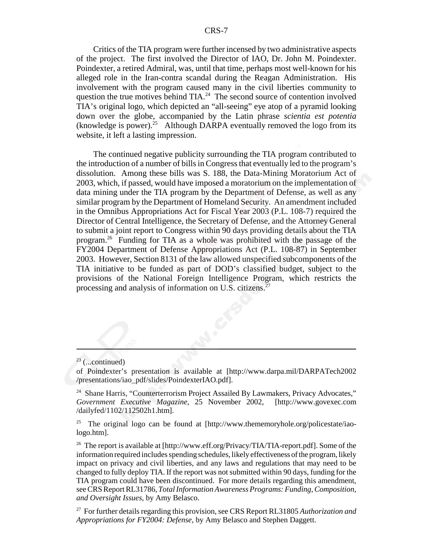Critics of the TIA program were further incensed by two administrative aspects of the project. The first involved the Director of IAO, Dr. John M. Poindexter. Poindexter, a retired Admiral, was, until that time, perhaps most well-known for his alleged role in the Iran-contra scandal during the Reagan Administration. His involvement with the program caused many in the civil liberties community to question the true motives behind  $TIA.$ <sup>24</sup> The second source of contention involved TIA's original logo, which depicted an "all-seeing" eye atop of a pyramid looking down over the globe, accompanied by the Latin phrase *scientia est potentia* (knowledge is power).<sup>25</sup> Although DARPA eventually removed the logo from its website, it left a lasting impression.

The continued negative publicity surrounding the TIA program contributed to the introduction of a number of bills in Congress that eventually led to the program's dissolution. Among these bills was S. 188, the Data-Mining Moratorium Act of 2003, which, if passed, would have imposed a moratorium on the implementation of data mining under the TIA program by the Department of Defense, as well as any similar program by the Department of Homeland Security. An amendment included in the Omnibus Appropriations Act for Fiscal Year 2003 (P.L. 108-7) required the Director of Central Intelligence, the Secretary of Defense, and the Attorney General to submit a joint report to Congress within 90 days providing details about the TIA program.26 Funding for TIA as a whole was prohibited with the passage of the FY2004 Department of Defense Appropriations Act (P.L. 108-87) in September 2003. However, Section 8131 of the law allowed unspecified subcomponents of the TIA initiative to be funded as part of DOD's classified budget, subject to the provisions of the National Foreign Intelligence Program, which restricts the processing and analysis of information on U.S. citizens.<sup>27</sup>

 $23$  (...continued)

of Poindexter's presentation is available at [http://www.darpa.mil/DARPATech2002 /presentations/iao\_pdf/slides/PoindexterIAO.pdf].

<sup>&</sup>lt;sup>24</sup> Shane Harris, "Counterterrorism Project Assailed By Lawmakers, Privacy Advocates," *Government Executive Magazine,* 25 November 2002, [http://www.govexec.com /dailyfed/1102/112502h1.htm].

<sup>&</sup>lt;sup>25</sup> The original logo can be found at  $[http://www.thememoryhole.org/policiestate/iao$ logo.htm].

<sup>&</sup>lt;sup>26</sup> The report is available at [http://www.eff.org/Privacy/TIA/TIA-report.pdf]. Some of the information required includes spending schedules, likely effectiveness of the program, likely impact on privacy and civil liberties, and any laws and regulations that may need to be changed to fully deploy TIA. If the report was not submitted within 90 days, funding for the TIA program could have been discontinued. For more details regarding this amendment, see CRS Report RL31786, *Total Information Awareness Programs: Funding, Composition, and Oversight Issues*, by Amy Belasco.

<sup>27</sup> For further details regarding this provision, see CRS Report RL31805 *Authorization and Appropriations for FY2004: Defense*, by Amy Belasco and Stephen Daggett.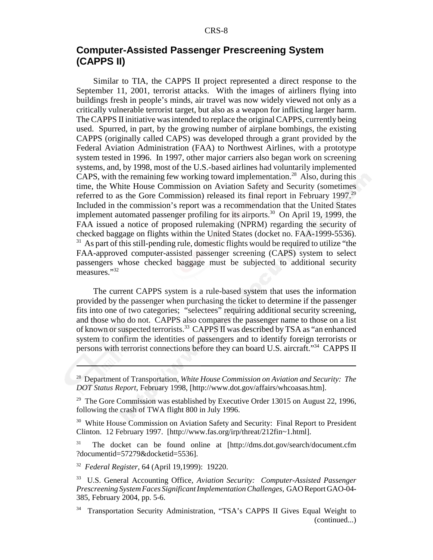## **Computer-Assisted Passenger Prescreening System (CAPPS II)**

Similar to TIA, the CAPPS II project represented a direct response to the September 11, 2001, terrorist attacks. With the images of airliners flying into buildings fresh in people's minds, air travel was now widely viewed not only as a critically vulnerable terrorist target, but also as a weapon for inflicting larger harm. The CAPPS II initiative was intended to replace the original CAPPS, currently being used. Spurred, in part, by the growing number of airplane bombings, the existing CAPPS (originally called CAPS) was developed through a grant provided by the Federal Aviation Administration (FAA) to Northwest Airlines, with a prototype system tested in 1996. In 1997, other major carriers also began work on screening systems, and, by 1998, most of the U.S.-based airlines had voluntarily implemented CAPS, with the remaining few working toward implementation.<sup>28</sup> Also, during this time, the White House Commission on Aviation Safety and Security (sometimes referred to as the Gore Commission) released its final report in February 1997.<sup>29</sup> Included in the commission's report was a recommendation that the United States implement automated passenger profiling for its airports.<sup>30</sup> On April 19, 1999, the FAA issued a notice of proposed rulemaking (NPRM) regarding the security of checked baggage on flights within the United States (docket no. FAA-1999-5536).  $31$  As part of this still-pending rule, domestic flights would be required to utilize "the FAA-approved computer-assisted passenger screening (CAPS) system to select passengers whose checked baggage must be subjected to additional security measures."<sup>32</sup>

The current CAPPS system is a rule-based system that uses the information provided by the passenger when purchasing the ticket to determine if the passenger fits into one of two categories; "selectees" requiring additional security screening, and those who do not. CAPPS also compares the passenger name to those on a list of known or suspected terrorists.<sup>33</sup> CAPPS II was described by TSA as "an enhanced system to confirm the identities of passengers and to identify foreign terrorists or persons with terrorist connections before they can board U.S. aircraft."34 CAPPS II

<sup>28</sup> Department of Transportation, *White House Commission on Aviation and Security: The DOT Status Report*, February 1998, [http://www.dot.gov/affairs/whcoasas.htm].

 $29$  The Gore Commission was established by Executive Order 13015 on August 22, 1996, following the crash of TWA flight 800 in July 1996.

<sup>&</sup>lt;sup>30</sup> White House Commission on Aviation Safety and Security: Final Report to President Clinton. 12 February 1997. [http://www.fas.org/irp/threat/212fin~1.html].

<sup>&</sup>lt;sup>31</sup> The docket can be found online at [http://dms.dot.gov/search/document.cfm ?documentid=57279&docketid=5536].

<sup>32</sup> *Federal Register*, 64 (April 19,1999): 19220.

<sup>33</sup> U.S. General Accounting Office, *Aviation Security: Computer-Assisted Passenger Prescreening System Faces Significant Implementation Challenges*, GAO Report GAO-04- 385, February 2004, pp. 5-6.

<sup>&</sup>lt;sup>34</sup> Transportation Security Administration, "TSA's CAPPS II Gives Equal Weight to (continued...)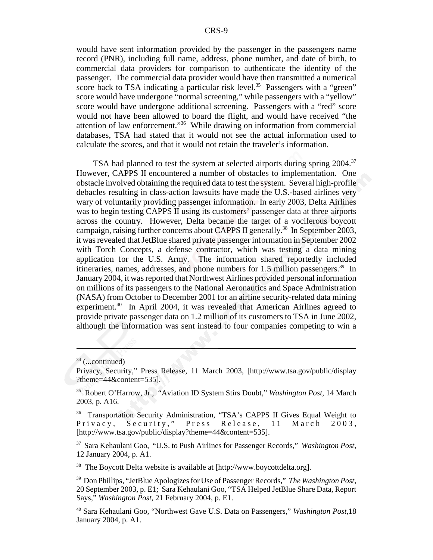would have sent information provided by the passenger in the passengers name record (PNR), including full name, address, phone number, and date of birth, to commercial data providers for comparison to authenticate the identity of the passenger. The commercial data provider would have then transmitted a numerical score back to TSA indicating a particular risk level.<sup>35</sup> Passengers with a "green" score would have undergone "normal screening," while passengers with a "yellow" score would have undergone additional screening. Passengers with a "red" score would not have been allowed to board the flight, and would have received "the attention of law enforcement."36 While drawing on information from commercial databases, TSA had stated that it would not see the actual information used to calculate the scores, and that it would not retain the traveler's information.

TSA had planned to test the system at selected airports during spring 2004.<sup>37</sup> However, CAPPS II encountered a number of obstacles to implementation. One obstacle involved obtaining the required data to test the system. Several high-profile debacles resulting in class-action lawsuits have made the U.S.-based airlines very wary of voluntarily providing passenger information. In early 2003, Delta Airlines was to begin testing CAPPS II using its customers' passenger data at three airports across the country. However, Delta became the target of a vociferous boycott campaign, raising further concerns about CAPPS II generally.<sup>38</sup> In September 2003, it was revealed that JetBlue shared private passenger information in September 2002 with Torch Concepts, a defense contractor, which was testing a data mining application for the U.S. Army. The information shared reportedly included itineraries, names, addresses, and phone numbers for  $1.5$  million passengers.<sup>39</sup> In January 2004, it was reported that Northwest Airlines provided personal information on millions of its passengers to the National Aeronautics and Space Administration (NASA) from October to December 2001 for an airline security-related data mining experiment.<sup>40</sup> In April 2004, it was revealed that American Airlines agreed to provide private passenger data on 1.2 million of its customers to TSA in June 2002, although the information was sent instead to four companies competing to win a

37 Sara Kehaulani Goo, "U.S. to Push Airlines for Passenger Records," *Washington Post*, 12 January 2004, p. A1.

38 The Boycott Delta website is available at [http://www.boycottdelta.org].

39 Don Phillips, "JetBlue Apologizes for Use of Passenger Records," *The Washington Post*, 20 September 2003, p. E1; Sara Kehaulani Goo, "TSA Helped JetBlue Share Data, Report Says," *Washington Post*, 21 February 2004, p. E1.

40 Sara Kehaulani Goo, "Northwest Gave U.S. Data on Passengers," *Washington Post*,18 January 2004, p. A1.

 $34$  (...continued)

Privacy, Security," Press Release, 11 March 2003, [http://www.tsa.gov/public/display ?theme=44&content=535].

<sup>35</sup> Robert O'Harrow, Jr., "Aviation ID System Stirs Doubt," *Washington Post*, 14 March 2003, p. A16.

<sup>&</sup>lt;sup>36</sup> Transportation Security Administration, "TSA's CAPPS II Gives Equal Weight to Privacy, Security," Press Release, 11 March 2003, [http://www.tsa.gov/public/display?theme=44&content=535].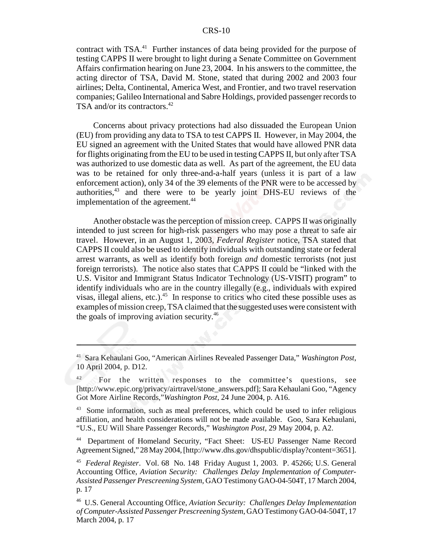contract with TSA.<sup>41</sup> Further instances of data being provided for the purpose of testing CAPPS II were brought to light during a Senate Committee on Government Affairs confirmation hearing on June 23, 2004. In his answers to the committee, the acting director of TSA, David M. Stone, stated that during 2002 and 2003 four airlines; Delta, Continental, America West, and Frontier, and two travel reservation companies; Galileo International and Sabre Holdings, provided passenger records to TSA and/or its contractors.<sup>42</sup>

Concerns about privacy protections had also dissuaded the European Union (EU) from providing any data to TSA to test CAPPS II. However, in May 2004, the EU signed an agreement with the United States that would have allowed PNR data for flights originating from the EU to be used in testing CAPPS II, but only after TSA was authorized to use domestic data as well. As part of the agreement, the EU data was to be retained for only three-and-a-half years (unless it is part of a law enforcement action), only 34 of the 39 elements of the PNR were to be accessed by authorities, $43$  and there were to be yearly joint DHS-EU reviews of the implementation of the agreement.<sup>44</sup>

Another obstacle was the perception of mission creep. CAPPS II was originally intended to just screen for high-risk passengers who may pose a threat to safe air travel. However, in an August 1, 2003, *Federal Register* notice, TSA stated that CAPPS II could also be used to identify individuals with outstanding state or federal arrest warrants, as well as identify both foreign *and* domestic terrorists (not just foreign terrorists). The notice also states that CAPPS II could be "linked with the U.S. Visitor and Immigrant Status Indicator Technology (US-VISIT) program" to identify individuals who are in the country illegally (e.g., individuals with expired visas, illegal aliens, etc.). $45$  In response to critics who cited these possible uses as examples of mission creep, TSA claimed that the suggested uses were consistent with the goals of improving aviation security.<sup>46</sup>

<sup>41</sup> Sara Kehaulani Goo, "American Airlines Revealed Passenger Data," *Washington Post*, 10 April 2004, p. D12.

 $^{42}$  For the written responses to the committee's questions, see [http://www.epic.org/privacy/airtravel/stone\_answers.pdf]; Sara Kehaulani Goo, "Agency Got More Airline Records,"*Washington Post*, 24 June 2004, p. A16.

<sup>&</sup>lt;sup>43</sup> Some information, such as meal preferences, which could be used to infer religious affiliation, and health considerations will not be made available. Goo, Sara Kehaulani, "U.S., EU Will Share Passenger Records," *Washington Post*, 29 May 2004, p. A2.

<sup>44</sup> Department of Homeland Security, "Fact Sheet: US-EU Passenger Name Record Agreement Signed," 28 May 2004, [http://www.dhs.gov/dhspublic/display?content=3651].

<sup>45</sup> *Federal Register*. Vol. 68 No. 148 Friday August 1, 2003. P. 45266; U.S. General Accounting Office, *Aviation Security: Challenges Delay Implementation of Computer-Assisted Passenger Prescreening System*, GAO Testimony GAO-04-504T, 17 March 2004, p. 17

<sup>46</sup> U.S. General Accounting Office, *Aviation Security: Challenges Delay Implementation of Computer-Assisted Passenger Prescreening System*, GAO Testimony GAO-04-504T, 17 March 2004, p. 17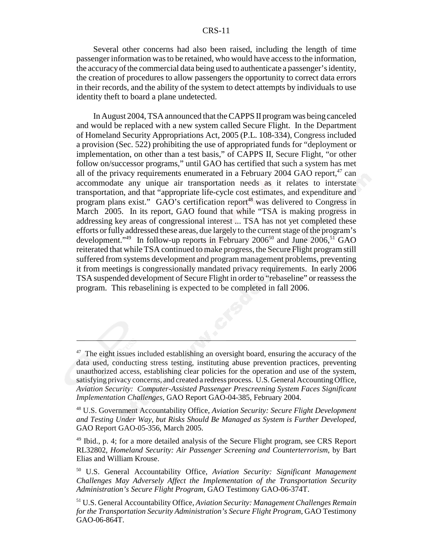Several other concerns had also been raised, including the length of time passenger information was to be retained, who would have access to the information, the accuracy of the commercial data being used to authenticate a passenger's identity, the creation of procedures to allow passengers the opportunity to correct data errors in their records, and the ability of the system to detect attempts by individuals to use identity theft to board a plane undetected.

In August 2004, TSA announced that the CAPPS II program was being canceled and would be replaced with a new system called Secure Flight. In the Department of Homeland Security Appropriations Act, 2005 (P.L. 108-334), Congress included a provision (Sec. 522) prohibiting the use of appropriated funds for "deployment or implementation, on other than a test basis," of CAPPS II, Secure Flight, "or other follow on/successor programs," until GAO has certified that such a system has met all of the privacy requirements enumerated in a February 2004 GAO report, $47$  can accommodate any unique air transportation needs as it relates to interstate transportation, and that "appropriate life-cycle cost estimates, and expenditure and program plans exist." GAO's certification report<sup>48</sup> was delivered to Congress in March 2005. In its report, GAO found that while "TSA is making progress in addressing key areas of congressional interest ... TSA has not yet completed these efforts or fully addressed these areas, due largely to the current stage of the program's development."<sup>49</sup> In follow-up reports in February  $2006^{50}$  and June  $2006$ <sup>51</sup> GAO reiterated that while TSA continued to make progress, the Secure Flight program still suffered from systems development and program management problems, preventing it from meetings is congressionally mandated privacy requirements. In early 2006 TSA suspended development of Secure Flight in order to "rebaseline" or reassess the program. This rebaselining is expected to be completed in fall 2006.

<sup>&</sup>lt;sup>47</sup> The eight issues included establishing an oversight board, ensuring the accuracy of the data used, conducting stress testing, instituting abuse prevention practices, preventing unauthorized access, establishing clear policies for the operation and use of the system, satisfying privacy concerns, and created a redress process. U.S. General Accounting Office, *Aviation Security: Computer-Assisted Passenger Prescreening System Faces Significant Implementation Challenges*, GAO Report GAO-04-385, February 2004.

<sup>48</sup> U.S. Government Accountability Office, *Aviation Security: Secure Flight Development and Testing Under Way, but Risks Should Be Managed as System is Further Developed*, GAO Report GAO-05-356, March 2005.

<sup>49</sup> Ibid., p. 4; for a more detailed analysis of the Secure Flight program, see CRS Report RL32802, *Homeland Security: Air Passenger Screening and Counterterrorism*, by Bart Elias and William Krouse.

<sup>50</sup> U.S. General Accountability Office, *Aviation Security: Significant Management Challenges May Adversely Affect the Implementation of the Transportation Security Administration's Secure Flight Program*, GAO Testimony GAO-06-374T.

<sup>51</sup> U.S. General Accountability Office, *Aviation Security: Management Challenges Remain for the Transportation Security Administration's Secure Flight Program*, GAO Testimony GAO-06-864T.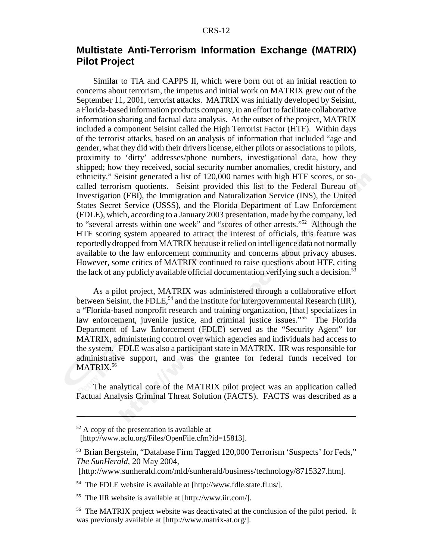## **Multistate Anti-Terrorism Information Exchange (MATRIX) Pilot Project**

Similar to TIA and CAPPS II, which were born out of an initial reaction to concerns about terrorism, the impetus and initial work on MATRIX grew out of the September 11, 2001, terrorist attacks. MATRIX was initially developed by Seisint, a Florida-based information products company, in an effort to facilitate collaborative information sharing and factual data analysis. At the outset of the project, MATRIX included a component Seisint called the High Terrorist Factor (HTF). Within days of the terrorist attacks, based on an analysis of information that included "age and gender, what they did with their drivers license, either pilots or associations to pilots, proximity to 'dirty' addresses/phone numbers, investigational data, how they shipped; how they received, social security number anomalies, credit history, and ethnicity," Seisint generated a list of 120,000 names with high HTF scores, or socalled terrorism quotients. Seisint provided this list to the Federal Bureau of Investigation (FBI), the Immigration and Naturalization Service (INS), the United States Secret Service (USSS), and the Florida Department of Law Enforcement (FDLE), which, according to a January 2003 presentation, made by the company, led to "several arrests within one week" and "scores of other arrests."52 Although the HTF scoring system appeared to attract the interest of officials, this feature was reportedly dropped from MATRIX because it relied on intelligence data not normally available to the law enforcement community and concerns about privacy abuses. However, some critics of MATRIX continued to raise questions about HTF, citing the lack of any publicly available official documentation verifying such a decision.<sup>53</sup>

As a pilot project, MATRIX was administered through a collaborative effort between Seisint, the FDLE,  $54$  and the Institute for Intergovernmental Research (IIR), a "Florida-based nonprofit research and training organization, [that] specializes in law enforcement, juvenile justice, and criminal justice issues."<sup>55</sup> The Florida Department of Law Enforcement (FDLE) served as the "Security Agent" for MATRIX, administering control over which agencies and individuals had access to the system. FDLE was also a participant state in MATRIX. IIR was responsible for administrative support, and was the grantee for federal funds received for MATRIX.<sup>56</sup>

The analytical core of the MATRIX pilot project was an application called Factual Analysis Criminal Threat Solution (FACTS). FACTS was described as a

[http://www.sunherald.com/mld/sunherald/business/technology/8715327.htm].

 $52$  A copy of the presentation is available at [http://www.aclu.org/Files/OpenFile.cfm?id=15813].

<sup>53</sup> Brian Bergstein, "Database Firm Tagged 120,000 Terrorism 'Suspects' for Feds," *The SunHerald*, 20 May 2004,

<sup>54</sup> The FDLE website is available at [http://www.fdle.state.fl.us/].

<sup>55</sup> The IIR website is available at [http://www.iir.com/].

<sup>&</sup>lt;sup>56</sup> The MATRIX project website was deactivated at the conclusion of the pilot period. It was previously available at [http://www.matrix-at.org/].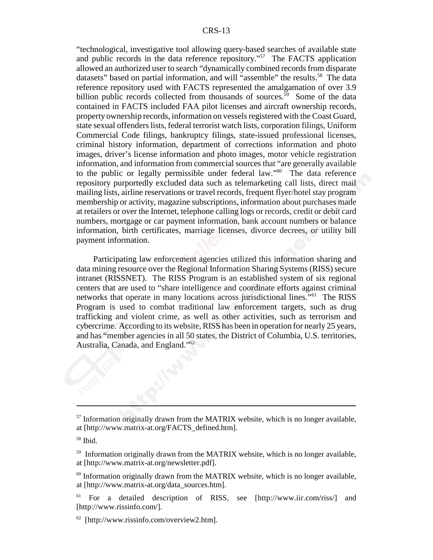"technological, investigative tool allowing query-based searches of available state and public records in the data reference repository."57 The FACTS application allowed an authorized user to search "dynamically combined records from disparate datasets" based on partial information, and will "assemble" the results.<sup>58</sup> The data reference repository used with FACTS represented the amalgamation of over 3.9 billion public records collected from thousands of sources.<sup>59</sup> Some of the data contained in FACTS included FAA pilot licenses and aircraft ownership records, property ownership records, information on vessels registered with the Coast Guard, state sexual offenders lists, federal terrorist watch lists, corporation filings, Uniform Commercial Code filings, bankruptcy filings, state-issued professional licenses, criminal history information, department of corrections information and photo images, driver's license information and photo images, motor vehicle registration information, and information from commercial sources that "are generally available to the public or legally permissible under federal law."60 The data reference repository purportedly excluded data such as telemarketing call lists, direct mail mailing lists, airline reservations or travel records, frequent flyer/hotel stay program membership or activity, magazine subscriptions, information about purchases made at retailers or over the Internet, telephone calling logs or records, credit or debit card numbers, mortgage or car payment information, bank account numbers or balance information, birth certificates, marriage licenses, divorce decrees, or utility bill payment information.

Participating law enforcement agencies utilized this information sharing and data mining resource over the Regional Information Sharing Systems (RISS) secure intranet (RISSNET). The RISS Program is an established system of six regional centers that are used to "share intelligence and coordinate efforts against criminal networks that operate in many locations across jurisdictional lines."61 The RISS Program is used to combat traditional law enforcement targets, such as drug trafficking and violent crime, as well as other activities, such as terrorism and cybercrime. According to its website, RISS has been in operation for nearly 25 years, and has "member agencies in all 50 states, the District of Columbia, U.S. territories, Australia, Canada, and England."62

 $57$  Information originally drawn from the MATRIX website, which is no longer available, at [http://www.matrix-at.org/FACTS\_defined.htm].

<sup>58</sup> Ibid.

<sup>&</sup>lt;sup>59</sup> Information originally drawn from the MATRIX website, which is no longer available, at [http://www.matrix-at.org/newsletter.pdf].

<sup>&</sup>lt;sup>60</sup> Information originally drawn from the MATRIX website, which is no longer available, at [http://www.matrix-at.org/data\_sources.htm].

 $61$  For a detailed description of RISS, see [http://www.iir.com/riss/] and [http://www.rissinfo.com/].

 $62$  [http://www.rissinfo.com/overview2.htm].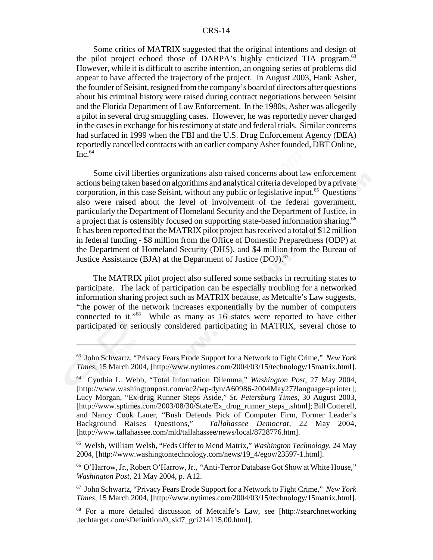Some critics of MATRIX suggested that the original intentions and design of the pilot project echoed those of DARPA's highly criticized TIA program.<sup>63</sup> However, while it is difficult to ascribe intention, an ongoing series of problems did appear to have affected the trajectory of the project. In August 2003, Hank Asher, the founder of Seisint, resigned from the company's board of directors after questions about his criminal history were raised during contract negotiations between Seisint and the Florida Department of Law Enforcement. In the 1980s, Asher was allegedly a pilot in several drug smuggling cases. However, he was reportedly never charged in the cases in exchange for his testimony at state and federal trials. Similar concerns had surfaced in 1999 when the FBI and the U.S. Drug Enforcement Agency (DEA) reportedly cancelled contracts with an earlier company Asher founded, DBT Online,  $Inc.<sup>64</sup>$ 

Some civil liberties organizations also raised concerns about law enforcement actions being taken based on algorithms and analytical criteria developed by a private corporation, in this case Seisint, without any public or legislative input.<sup>65</sup> Questions also were raised about the level of involvement of the federal government, particularly the Department of Homeland Security and the Department of Justice, in a project that is ostensibly focused on supporting state-based information sharing.<sup>66</sup> It has been reported that the MATRIX pilot project has received a total of \$12 million in federal funding - \$8 million from the Office of Domestic Preparedness (ODP) at the Department of Homeland Security (DHS), and \$4 million from the Bureau of Justice Assistance (BJA) at the Department of Justice (DOJ).<sup>67</sup>

The MATRIX pilot project also suffered some setbacks in recruiting states to participate. The lack of participation can be especially troubling for a networked information sharing project such as MATRIX because, as Metcalfe's Law suggests, "the power of the network increases exponentially by the number of computers connected to it."68 While as many as 16 states were reported to have either participated or seriously considered participating in MATRIX, several chose to

65 Welsh, William Welsh, "Feds Offer to Mend Matrix," *Washington Technology*, 24 May 2004, [http://www.washingtontechnology.com/news/19\_4/egov/23597-1.html].

<sup>63</sup> John Schwartz, "Privacy Fears Erode Support for a Network to Fight Crime," *New York Times*, 15 March 2004, [http://www.nytimes.com/2004/03/15/technology/15matrix.html].

<sup>64</sup> Cynthia L. Webb, "Total Information Dilemma," *Washington Post*, 27 May 2004, [http://www.washingtonpost.com/ac2/wp-dyn/A60986-2004May27?language=printer]; Lucy Morgan, "Ex-drug Runner Steps Aside," *St. Petersburg Times*, 30 August 2003, [http://www.sptimes.com/2003/08/30/State/Ex\_drug\_runner\_steps\_.shtml]; Bill Cotterell, and Nancy Cook Lauer, "Bush Defends Pick of Computer Firm, Former Leader's Background Raises Questions," *Tallahassee Democrat*, 22 May 2004, [http://www.tallahassee.com/mld/tallahassee/news/local/8728776.htm].

<sup>66</sup> O'Harrow, Jr., Robert O'Harrow, Jr., "Anti-Terror Database Got Show at White House," *Washington Post*, 21 May 2004, p. A12.

<sup>67</sup> John Schwartz, "Privacy Fears Erode Support for a Network to Fight Crime," *New York Times*, 15 March 2004, [http://www.nytimes.com/2004/03/15/technology/15matrix.html].

<sup>68</sup> For a more detailed discussion of Metcalfe's Law, see [http://searchnetworking .techtarget.com/sDefinition/0,,sid7\_gci214115,00.html].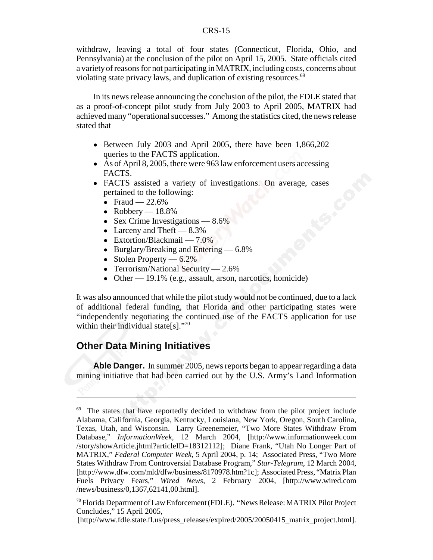withdraw, leaving a total of four states (Connecticut, Florida, Ohio, and Pennsylvania) at the conclusion of the pilot on April 15, 2005. State officials cited a variety of reasons for not participating in MATRIX, including costs, concerns about violating state privacy laws, and duplication of existing resources.<sup>69</sup>

In its news release announcing the conclusion of the pilot, the FDLE stated that as a proof-of-concept pilot study from July 2003 to April 2005, MATRIX had achieved many "operational successes." Among the statistics cited, the news release stated that

- ! Between July 2003 and April 2005, there have been 1,866,202 queries to the FACTS application.
- As of April 8, 2005, there were 963 law enforcement users accessing FACTS.
- FACTS assisted a variety of investigations. On average, cases<br>pertained to the following:<br>• Fraud  $-22.6\%$ <br>• Robbery  $-18.8\%$ <br>• Sex Crime Investigations  $-8.6\%$ <br>• Larceny and Theft<br>• Fythest pertained to the following:
	- Fraud  $-22.6%$
	- Robbery  $18.8\%$
	- Sex Crime Investigations  $-8.6\%$
	- Larceny and Theft  $-8.3\%$
	- Extortion/Blackmail 7.0%
	- Burglary/Breaking and Entering 6.8%
	- Stolen Property  $6.2\%$
	- Terrorism/National Security 2.6%
	- $\bullet$  Other 19.1% (e.g., assault, arson, narcotics, homicide)

It was also announced that while the pilot study would not be continued, due to a lack of additional federal funding, that Florida and other participating states were "independently negotiating the continued use of the FACTS application for use within their individual state[s]. $\frac{1}{70}$ 

#### **Other Data Mining Initiatives**

**Able Danger.** In summer 2005, news reports began to appear regarding a data mining initiative that had been carried out by the U.S. Army's Land Information

<sup>70</sup> Florida Department of Law Enforcement (FDLE). "News Release: MATRIX Pilot Project Concludes," 15 April 2005,

<sup>&</sup>lt;sup>69</sup> The states that have reportedly decided to withdraw from the pilot project include Alabama, California, Georgia, Kentucky, Louisiana, New York, Oregon, South Carolina, Texas, Utah, and Wisconsin. Larry Greenemeier, "Two More States Withdraw From Database," *InformationWeek*, 12 March 2004, [http://www.informationweek.com /story/showArticle.jhtml?articleID=18312112]; Diane Frank, "Utah No Longer Part of MATRIX," *Federal Computer Week*, 5 April 2004, p. 14; Associated Press, "Two More States Withdraw From Controversial Database Program," *Star-Telegram*, 12 March 2004, [http://www.dfw.com/mld/dfw/business/8170978.htm?1c]; Associated Press, "Matrix Plan Fuels Privacy Fears," *Wired News*, 2 February 2004, [http://www.wired.com /news/business/0,1367,62141,00.html].

 <sup>[</sup>http://www.fdle.state.fl.us/press\_releases/expired/2005/20050415\_matrix\_project.html].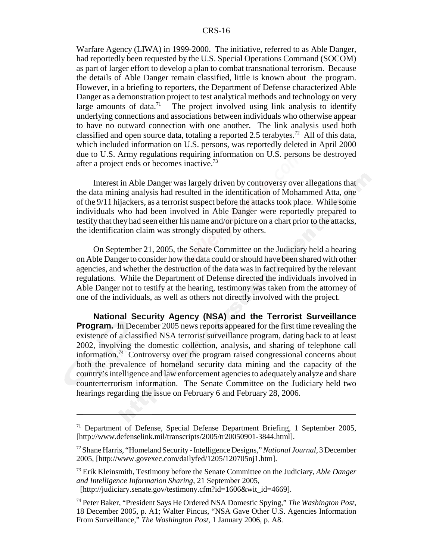Warfare Agency (LIWA) in 1999-2000. The initiative, referred to as Able Danger, had reportedly been requested by the U.S. Special Operations Command (SOCOM) as part of larger effort to develop a plan to combat transnational terrorism. Because the details of Able Danger remain classified, little is known about the program. However, in a briefing to reporters, the Department of Defense characterized Able Danger as a demonstration project to test analytical methods and technology on very large amounts of data.<sup>71</sup> The project involved using link analysis to identify underlying connections and associations between individuals who otherwise appear to have no outward connection with one another. The link analysis used both classified and open source data, totaling a reported 2.5 terabytes.<sup>72</sup> All of this data, which included information on U.S. persons, was reportedly deleted in April 2000 due to U.S. Army regulations requiring information on U.S. persons be destroyed after a project ends or becomes inactive.73

Interest in Able Danger was largely driven by controversy over allegations that the data mining analysis had resulted in the identification of Mohammed Atta, one of the 9/11 hijackers, as a terrorist suspect before the attacks took place. While some individuals who had been involved in Able Danger were reportedly prepared to testify that they had seen either his name and/or picture on a chart prior to the attacks, the identification claim was strongly disputed by others.

On September 21, 2005, the Senate Committee on the Judiciary held a hearing on Able Danger to consider how the data could or should have been shared with other agencies, and whether the destruction of the data was in fact required by the relevant regulations. While the Department of Defense directed the individuals involved in Able Danger not to testify at the hearing, testimony was taken from the attorney of one of the individuals, as well as others not directly involved with the project.

**National Security Agency (NSA) and the Terrorist Surveillance Program.** In December 2005 news reports appeared for the first time revealing the existence of a classified NSA terrorist surveillance program, dating back to at least 2002, involving the domestic collection, analysis, and sharing of telephone call information.74 Controversy over the program raised congressional concerns about both the prevalence of homeland security data mining and the capacity of the country's intelligence and law enforcement agencies to adequately analyze and share counterterrorism information. The Senate Committee on the Judiciary held two hearings regarding the issue on February 6 and February 28, 2006.

<sup>&</sup>lt;sup>71</sup> Department of Defense, Special Defense Department Briefing, 1 September 2005, [http://www.defenselink.mil/transcripts/2005/tr20050901-3844.html].

<sup>72</sup> Shane Harris, "Homeland Security - Intelligence Designs," *National Journal*, 3 December 2005, [http://www.govexec.com/dailyfed/1205/120705nj1.htm].

<sup>73</sup> Erik Kleinsmith, Testimony before the Senate Committee on the Judiciary, *Able Danger and Intelligence Information Sharing*, 21 September 2005,

 <sup>[</sup>http://judiciary.senate.gov/testimony.cfm?id=1606&wit\_id=4669].

<sup>74</sup> Peter Baker, "President Says He Ordered NSA Domestic Spying," *The Washington Post*, 18 December 2005, p. A1; Walter Pincus, "NSA Gave Other U.S. Agencies Information From Surveillance," *The Washington Post*, 1 January 2006, p. A8.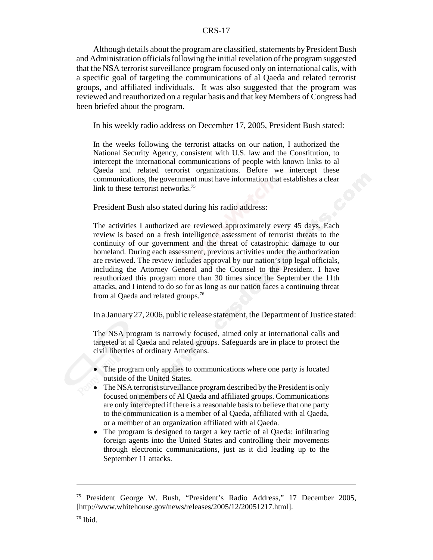Although details about the program are classified, statements by President Bush and Administration officials following the initial revelation of the program suggested that the NSA terrorist surveillance program focused only on international calls, with a specific goal of targeting the communications of al Qaeda and related terrorist groups, and affiliated individuals. It was also suggested that the program was reviewed and reauthorized on a regular basis and that key Members of Congress had been briefed about the program.

In his weekly radio address on December 17, 2005, President Bush stated:

In the weeks following the terrorist attacks on our nation, I authorized the National Security Agency, consistent with U.S. law and the Constitution, to intercept the international communications of people with known links to al Qaeda and related terrorist organizations. Before we intercept these communications, the government must have information that establishes a clear link to these terrorist networks.<sup>75</sup>

President Bush also stated during his radio address:

The activities I authorized are reviewed approximately every 45 days. Each review is based on a fresh intelligence assessment of terrorist threats to the continuity of our government and the threat of catastrophic damage to our homeland. During each assessment, previous activities under the authorization are reviewed. The review includes approval by our nation's top legal officials, including the Attorney General and the Counsel to the President. I have reauthorized this program more than 30 times since the September the 11th attacks, and I intend to do so for as long as our nation faces a continuing threat from al Qaeda and related groups.76

In a January 27, 2006, public release statement, the Department of Justice stated:

The NSA program is narrowly focused, aimed only at international calls and targeted at al Qaeda and related groups. Safeguards are in place to protect the civil liberties of ordinary Americans.

- The program only applies to communications where one party is located outside of the United States.
- ! The NSA terrorist surveillance program described by the President is only focused on members of Al Qaeda and affiliated groups. Communications are only intercepted if there is a reasonable basis to believe that one party to the communication is a member of al Qaeda, affiliated with al Qaeda, or a member of an organization affiliated with al Qaeda.
- ! The program is designed to target a key tactic of al Qaeda: infiltrating foreign agents into the United States and controlling their movements through electronic communications, just as it did leading up to the September 11 attacks.

<sup>75</sup> President George W. Bush, "President's Radio Address," 17 December 2005, [http://www.whitehouse.gov/news/releases/2005/12/20051217.html].

 $76$  Ibid.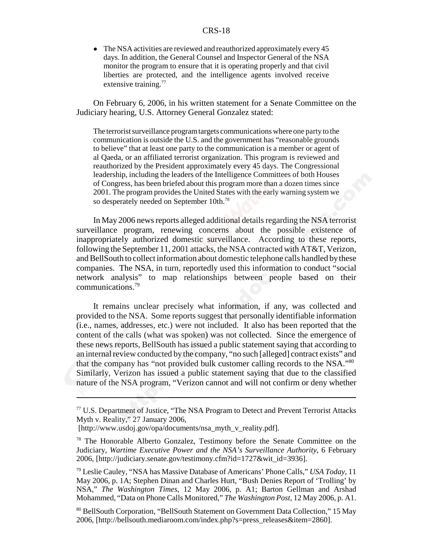• The NSA activities are reviewed and reauthorized approximately every 45 days. In addition, the General Counsel and Inspector General of the NSA monitor the program to ensure that it is operating properly and that civil liberties are protected, and the intelligence agents involved receive extensive training.<sup>77</sup>

On February 6, 2006, in his written statement for a Senate Committee on the Judiciary hearing, U.S. Attorney General Gonzalez stated:

The terrorist surveillance program targets communications where one party to the communication is outside the U.S. and the government has "reasonable grounds to believe" that at least one party to the communication is a member or agent of al Qaeda, or an affiliated terrorist organization. This program is reviewed and reauthorized by the President approximately every 45 days. The Congressional leadership, including the leaders of the Intelligence Committees of both Houses of Congress, has been briefed about this program more than a dozen times since 2001. The program provides the United States with the early warning system we so desperately needed on September 10th.<sup>78</sup>

In May 2006 news reports alleged additional details regarding the NSA terrorist surveillance program, renewing concerns about the possible existence of inappropriately authorized domestic surveillance. According to these reports, following the September 11, 2001 attacks, the NSA contracted with AT&T, Verizon, and BellSouth to collect information about domestic telephone calls handled by these companies. The NSA, in turn, reportedly used this information to conduct "social network analysis" to map relationships between people based on their communications.79

It remains unclear precisely what information, if any, was collected and provided to the NSA. Some reports suggest that personally identifiable information (i.e., names, addresses, etc.) were not included. It also has been reported that the content of the calls (what was spoken) was not collected. Since the emergence of these news reports, BellSouth has issued a public statement saying that according to an internal review conducted by the company, "no such [alleged] contract exists" and that the company has "not provided bulk customer calling records to the NSA."80 Similarly, Verizon has issued a public statement saying that due to the classified nature of the NSA program, "Verizon cannot and will not confirm or deny whether

<sup>77</sup> U.S. Department of Justice, "The NSA Program to Detect and Prevent Terrorist Attacks Myth v. Reality," 27 January 2006,

 <sup>[</sup>http://www.usdoj.gov/opa/documents/nsa\_myth\_v\_reality.pdf].

<sup>78</sup> The Honorable Alberto Gonzalez, Testimony before the Senate Committee on the Judiciary, *Wartime Executive Power and the NSA's Surveillance Authority*, 6 February 2006, [http://judiciary.senate.gov/testimony.cfm?id=1727&wit\_id=3936].

<sup>79</sup> Leslie Cauley, "NSA has Massive Database of Americans' Phone Calls," *USA Today*, 11 May 2006, p. 1A; Stephen Dinan and Charles Hurt, "Bush Denies Report of 'Trolling' by NSA," *The Washington Times*, 12 May 2006, p. A1; Barton Gellman and Arshad Mohammed, "Data on Phone Calls Monitored," *The Washington Post*, 12 May 2006, p. A1.

<sup>80</sup> BellSouth Corporation, "BellSouth Statement on Government Data Collection," 15 May 2006, [http://bellsouth.mediaroom.com/index.php?s=press\_releases&item=2860].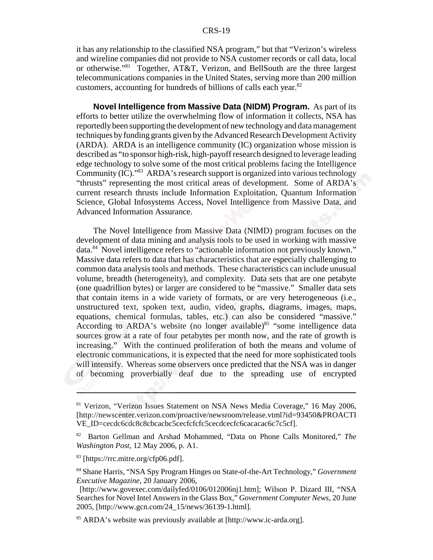it has any relationship to the classified NSA program," but that "Verizon's wireless and wireline companies did not provide to NSA customer records or call data, local or otherwise."81 Together, AT&T, Verizon, and BellSouth are the three largest telecommunications companies in the United States, serving more than 200 million customers, accounting for hundreds of billions of calls each year. $82$ 

**Novel Intelligence from Massive Data (NIDM) Program.** As part of its efforts to better utilize the overwhelming flow of information it collects, NSA has reportedly been supporting the development of new technology and data management techniques by funding grants given by the Advanced Research Development Activity (ARDA). ARDA is an intelligence community (IC) organization whose mission is described as "to sponsor high-risk, high-payoff research designed to leverage leading edge technology to solve some of the most critical problems facing the Intelligence Community (IC)."83 ARDA's research support is organized into various technology "thrusts" representing the most critical areas of development. Some of ARDA's current research thrusts include Information Exploitation, Quantum Information Science, Global Infosystems Access, Novel Intelligence from Massive Data, and Advanced Information Assurance.

The Novel Intelligence from Massive Data (NIMD) program focuses on the development of data mining and analysis tools to be used in working with massive data.84 Novel intelligence refers to "actionable information not previously known." Massive data refers to data that has characteristics that are especially challenging to common data analysis tools and methods. These characteristics can include unusual volume, breadth (heterogeneity), and complexity. Data sets that are one petabyte (one quadrillion bytes) or larger are considered to be "massive." Smaller data sets that contain items in a wide variety of formats, or are very heterogeneous (i.e., unstructured text, spoken text, audio, video, graphs, diagrams, images, maps, equations, chemical formulas, tables, etc.) can also be considered "massive." According to ARDA's website (no longer available)<sup>85</sup> "some intelligence data sources grow at a rate of four petabytes per month now, and the rate of growth is increasing." With the continued proliferation of both the means and volume of electronic communications, it is expected that the need for more sophisticated tools will intensify. Whereas some observers once predicted that the NSA was in danger of becoming proverbially deaf due to the spreading use of encrypted

<sup>81</sup> Verizon, "Verizon Issues Statement on NSA News Media Coverage," 16 May 2006, [http://newscenter.verizon.com/proactive/newsroom/release.vtml?id=93450&PROACTI VE\_ID=cecdc6cdc8c8cbcacbc5cecfcfcfc5cecdcecfc6cacacac6c7c5cf].

<sup>82</sup> Barton Gellman and Arshad Mohammed, "Data on Phone Calls Monitored," *The Washington Post*, 12 May 2006, p. A1.

<sup>83 [</sup>https://rrc.mitre.org/cfp06.pdf].

<sup>84</sup> Shane Harris, "NSA Spy Program Hinges on State-of-the-Art Technology," *Government Executive Magazine*, 20 January 2006,

 <sup>[</sup>http://www.govexec.com/dailyfed/0106/012006nj1.htm]; Wilson P. Dizard III, "NSA Searches for Novel Intel Answers in the Glass Box," *Government Computer News*, 20 June 2005, [http://www.gcn.com/24\_15/news/36139-1.html].

<sup>85</sup> ARDA's website was previously available at [http://www.ic-arda.org].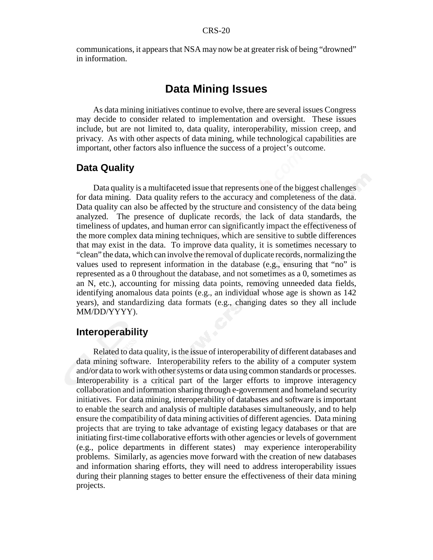communications, it appears that NSA may now be at greater risk of being "drowned" in information.

## **Data Mining Issues**

As data mining initiatives continue to evolve, there are several issues Congress may decide to consider related to implementation and oversight. These issues include, but are not limited to, data quality, interoperability, mission creep, and privacy. As with other aspects of data mining, while technological capabilities are important, other factors also influence the success of a project's outcome.

#### **Data Quality**

Data quality is a multifaceted issue that represents one of the biggest challenges for data mining. Data quality refers to the accuracy and completeness of the data. Data quality can also be affected by the structure and consistency of the data being analyzed. The presence of duplicate records, the lack of data standards, the timeliness of updates, and human error can significantly impact the effectiveness of the more complex data mining techniques, which are sensitive to subtle differences that may exist in the data. To improve data quality, it is sometimes necessary to "clean" the data, which can involve the removal of duplicate records, normalizing the values used to represent information in the database (e.g., ensuring that "no" is represented as a 0 throughout the database, and not sometimes as a 0, sometimes as an N, etc.), accounting for missing data points, removing unneeded data fields, identifying anomalous data points (e.g., an individual whose age is shown as 142 years), and standardizing data formats (e.g., changing dates so they all include MM/DD/YYYY).

#### **Interoperability**

Related to data quality, is the issue of interoperability of different databases and data mining software. Interoperability refers to the ability of a computer system and/or data to work with other systems or data using common standards or processes. Interoperability is a critical part of the larger efforts to improve interagency collaboration and information sharing through e-government and homeland security initiatives. For data mining, interoperability of databases and software is important to enable the search and analysis of multiple databases simultaneously, and to help ensure the compatibility of data mining activities of different agencies. Data mining projects that are trying to take advantage of existing legacy databases or that are initiating first-time collaborative efforts with other agencies or levels of government (e.g., police departments in different states) may experience interoperability problems. Similarly, as agencies move forward with the creation of new databases and information sharing efforts, they will need to address interoperability issues during their planning stages to better ensure the effectiveness of their data mining projects.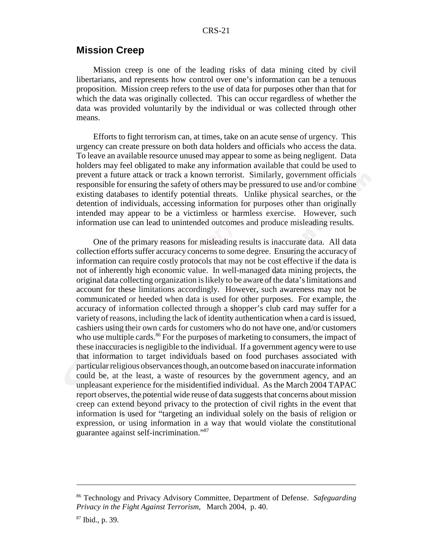#### **Mission Creep**

Mission creep is one of the leading risks of data mining cited by civil libertarians, and represents how control over one's information can be a tenuous proposition. Mission creep refers to the use of data for purposes other than that for which the data was originally collected. This can occur regardless of whether the data was provided voluntarily by the individual or was collected through other means.

Efforts to fight terrorism can, at times, take on an acute sense of urgency. This urgency can create pressure on both data holders and officials who access the data. To leave an available resource unused may appear to some as being negligent. Data holders may feel obligated to make any information available that could be used to prevent a future attack or track a known terrorist. Similarly, government officials responsible for ensuring the safety of others may be pressured to use and/or combine existing databases to identify potential threats. Unlike physical searches, or the detention of individuals, accessing information for purposes other than originally intended may appear to be a victimless or harmless exercise. However, such information use can lead to unintended outcomes and produce misleading results.

One of the primary reasons for misleading results is inaccurate data. All data collection efforts suffer accuracy concerns to some degree. Ensuring the accuracy of information can require costly protocols that may not be cost effective if the data is not of inherently high economic value. In well-managed data mining projects, the original data collecting organization is likely to be aware of the data's limitations and account for these limitations accordingly. However, such awareness may not be communicated or heeded when data is used for other purposes. For example, the accuracy of information collected through a shopper's club card may suffer for a variety of reasons, including the lack of identity authentication when a card is issued, cashiers using their own cards for customers who do not have one, and/or customers who use multiple cards.<sup>86</sup> For the purposes of marketing to consumers, the impact of these inaccuracies is negligible to the individual. If a government agency were to use that information to target individuals based on food purchases associated with particular religious observances though, an outcome based on inaccurate information could be, at the least, a waste of resources by the government agency, and an unpleasant experience for the misidentified individual. As the March 2004 TAPAC report observes, the potential wide reuse of data suggests that concerns about mission creep can extend beyond privacy to the protection of civil rights in the event that information is used for "targeting an individual solely on the basis of religion or expression, or using information in a way that would violate the constitutional guarantee against self-incrimination."87

<sup>86</sup> Technology and Privacy Advisory Committee, Department of Defense. *Safeguarding Privacy in the Fight Against Terrorism*, March 2004, p. 40.

<sup>87</sup> Ibid., p. 39.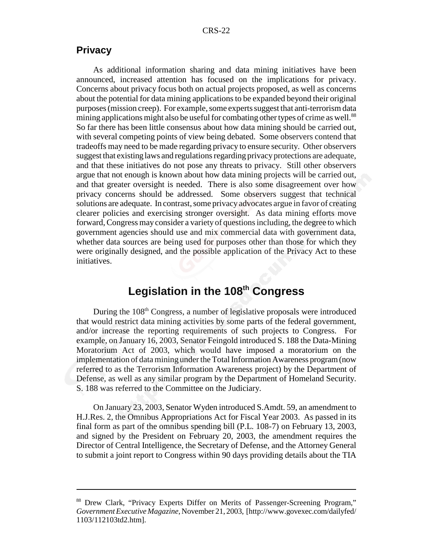#### **Privacy**

As additional information sharing and data mining initiatives have been announced, increased attention has focused on the implications for privacy. Concerns about privacy focus both on actual projects proposed, as well as concerns about the potential for data mining applications to be expanded beyond their original purposes (mission creep). For example, some experts suggest that anti-terrorism data mining applications might also be useful for combating other types of crime as well.<sup>88</sup> So far there has been little consensus about how data mining should be carried out, with several competing points of view being debated. Some observers contend that tradeoffs may need to be made regarding privacy to ensure security. Other observers suggest that existing laws and regulations regarding privacy protections are adequate, and that these initiatives do not pose any threats to privacy. Still other observers argue that not enough is known about how data mining projects will be carried out, and that greater oversight is needed. There is also some disagreement over how privacy concerns should be addressed. Some observers suggest that technical solutions are adequate. In contrast, some privacy advocates argue in favor of creating clearer policies and exercising stronger oversight. As data mining efforts move forward, Congress may consider a variety of questions including, the degree to which government agencies should use and mix commercial data with government data, whether data sources are being used for purposes other than those for which they were originally designed, and the possible application of the Privacy Act to these initiatives.

# Legislation in the 108<sup>th</sup> Congress

During the 108<sup>th</sup> Congress, a number of legislative proposals were introduced that would restrict data mining activities by some parts of the federal government, and/or increase the reporting requirements of such projects to Congress. For example, on January 16, 2003, Senator Feingold introduced S. 188 the Data-Mining Moratorium Act of 2003, which would have imposed a moratorium on the implementation of data mining under the Total Information Awareness program (now referred to as the Terrorism Information Awareness project) by the Department of Defense, as well as any similar program by the Department of Homeland Security. S. 188 was referred to the Committee on the Judiciary.

On January 23, 2003, Senator Wyden introduced S.Amdt. 59, an amendment to H.J.Res. 2, the Omnibus Appropriations Act for Fiscal Year 2003. As passed in its final form as part of the omnibus spending bill (P.L. 108-7) on February 13, 2003, and signed by the President on February 20, 2003, the amendment requires the Director of Central Intelligence, the Secretary of Defense, and the Attorney General to submit a joint report to Congress within 90 days providing details about the TIA

<sup>88</sup> Drew Clark, "Privacy Experts Differ on Merits of Passenger-Screening Program," *Government Executive Magazine*, November 21, 2003, [http://www.govexec.com/dailyfed/ 1103/112103td2.htm].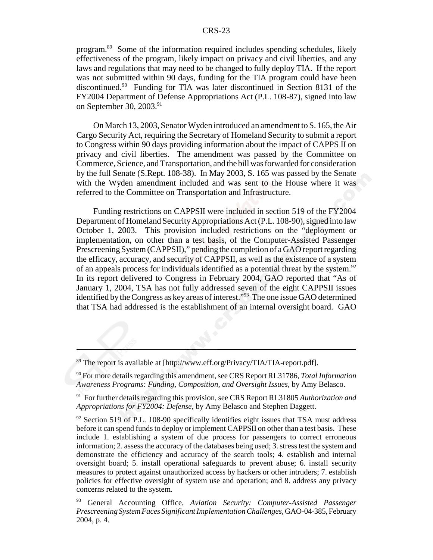program.89 Some of the information required includes spending schedules, likely effectiveness of the program, likely impact on privacy and civil liberties, and any laws and regulations that may need to be changed to fully deploy TIA. If the report was not submitted within 90 days, funding for the TIA program could have been discontinued.90 Funding for TIA was later discontinued in Section 8131 of the FY2004 Department of Defense Appropriations Act (P.L. 108-87), signed into law on September 30, 2003.<sup>91</sup>

On March 13, 2003, Senator Wyden introduced an amendment to S. 165, the Air Cargo Security Act, requiring the Secretary of Homeland Security to submit a report to Congress within 90 days providing information about the impact of CAPPS II on privacy and civil liberties. The amendment was passed by the Committee on Commerce, Science, and Transportation, and the bill was forwarded for consideration by the full Senate (S.Rept. 108-38). In May 2003, S. 165 was passed by the Senate with the Wyden amendment included and was sent to the House where it was referred to the Committee on Transportation and Infrastructure.

Funding restrictions on CAPPSII were included in section 519 of the FY2004 Department of Homeland Security Appropriations Act (P.L. 108-90), signed into law October 1, 2003. This provision included restrictions on the "deployment or implementation, on other than a test basis, of the Computer-Assisted Passenger Prescreening System (CAPPSII)," pending the completion of a GAO report regarding the efficacy, accuracy, and security of CAPPSII, as well as the existence of a system of an appeals process for individuals identified as a potential threat by the system.<sup>92</sup> In its report delivered to Congress in February 2004, GAO reported that "As of January 1, 2004, TSA has not fully addressed seven of the eight CAPPSII issues identified by the Congress as key areas of interest."93 The one issue GAO determined that TSA had addressed is the establishment of an internal oversight board. GAO

<sup>89</sup> The report is available at [http://www.eff.org/Privacy/TIA/TIA-report.pdf].

<sup>90</sup> For more details regarding this amendment, see CRS Report RL31786, *Total Information Awareness Programs: Funding, Composition, and Oversight Issues*, by Amy Belasco.

<sup>91</sup> For further details regarding this provision, see CRS Report RL31805 *Authorization and Appropriations for FY2004: Defense*, by Amy Belasco and Stephen Daggett.

 $92$  Section 519 of P.L. 108-90 specifically identifies eight issues that TSA must address before it can spend funds to deploy or implement CAPPSII on other than a test basis. These include 1. establishing a system of due process for passengers to correct erroneous information; 2. assess the accuracy of the databases being used; 3. stress test the system and demonstrate the efficiency and accuracy of the search tools; 4. establish and internal oversight board; 5. install operational safeguards to prevent abuse; 6. install security measures to protect against unauthorized access by hackers or other intruders; 7. establish policies for effective oversight of system use and operation; and 8. address any privacy concerns related to the system.

<sup>93</sup> General Accounting Office, *Aviation Security: Computer-Assisted Passenger Prescreening System Faces Significant Implementation Challenges*, GAO-04-385, February 2004, p. 4.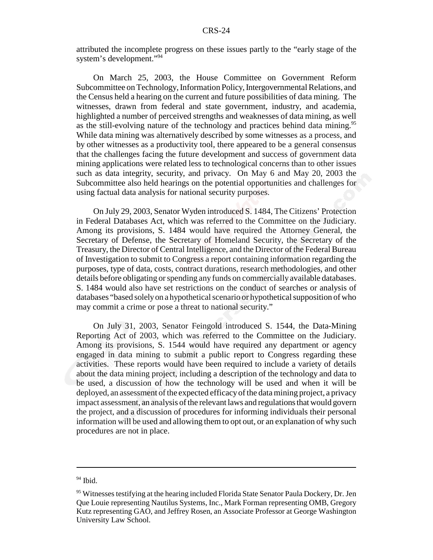attributed the incomplete progress on these issues partly to the "early stage of the system's development."94

On March 25, 2003, the House Committee on Government Reform Subcommittee on Technology, Information Policy, Intergovernmental Relations, and the Census held a hearing on the current and future possibilities of data mining. The witnesses, drawn from federal and state government, industry, and academia, highlighted a number of perceived strengths and weaknesses of data mining, as well as the still-evolving nature of the technology and practices behind data mining.<sup>95</sup> While data mining was alternatively described by some witnesses as a process, and by other witnesses as a productivity tool, there appeared to be a general consensus that the challenges facing the future development and success of government data mining applications were related less to technological concerns than to other issues such as data integrity, security, and privacy. On May 6 and May 20, 2003 the Subcommittee also held hearings on the potential opportunities and challenges for using factual data analysis for national security purposes.

On July 29, 2003, Senator Wyden introduced S. 1484, The Citizens' Protection in Federal Databases Act, which was referred to the Committee on the Judiciary. Among its provisions, S. 1484 would have required the Attorney General, the Secretary of Defense, the Secretary of Homeland Security, the Secretary of the Treasury, the Director of Central Intelligence, and the Director of the Federal Bureau of Investigation to submit to Congress a report containing information regarding the purposes, type of data, costs, contract durations, research methodologies, and other details before obligating or spending any funds on commercially available databases. S. 1484 would also have set restrictions on the conduct of searches or analysis of databases "based solely on a hypothetical scenario or hypothetical supposition of who may commit a crime or pose a threat to national security."

On July 31, 2003, Senator Feingold introduced S. 1544, the Data-Mining Reporting Act of 2003, which was referred to the Committee on the Judiciary. Among its provisions, S. 1544 would have required any department or agency engaged in data mining to submit a public report to Congress regarding these activities. These reports would have been required to include a variety of details about the data mining project, including a description of the technology and data to be used, a discussion of how the technology will be used and when it will be deployed, an assessment of the expected efficacy of the data mining project, a privacy impact assessment, an analysis of the relevant laws and regulations that would govern the project, and a discussion of procedures for informing individuals their personal information will be used and allowing them to opt out, or an explanation of why such procedures are not in place.

 $94$  Ibid.

<sup>&</sup>lt;sup>95</sup> Witnesses testifying at the hearing included Florida State Senator Paula Dockery, Dr. Jen Que Louie representing Nautilus Systems, Inc., Mark Forman representing OMB, Gregory Kutz representing GAO, and Jeffrey Rosen, an Associate Professor at George Washington University Law School.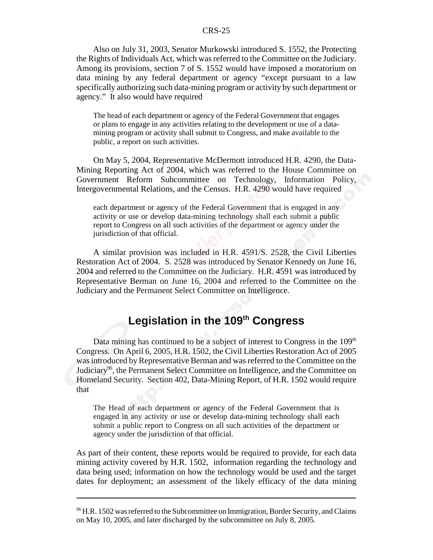Also on July 31, 2003, Senator Murkowski introduced S. 1552, the Protecting the Rights of Individuals Act, which was referred to the Committee on the Judiciary. Among its provisions, section 7 of S. 1552 would have imposed a moratorium on data mining by any federal department or agency "except pursuant to a law specifically authorizing such data-mining program or activity by such department or agency." It also would have required

The head of each department or agency of the Federal Government that engages or plans to engage in any activities relating to the development or use of a datamining program or activity shall submit to Congress, and make available to the public, a report on such activities.

On May 5, 2004, Representative McDermott introduced H.R. 4290, the Data-Mining Reporting Act of 2004, which was referred to the House Committee on Government Reform Subcommittee on Technology, Information Policy, Intergovernmental Relations, and the Census. H.R. 4290 would have required

each department or agency of the Federal Government that is engaged in any activity or use or develop data-mining technology shall each submit a public report to Congress on all such activities of the department or agency under the jurisdiction of that official.

A similar provision was included in H.R. 4591/S. 2528, the Civil Liberties Restoration Act of 2004. S. 2528 was introduced by Senator Kennedy on June 16, 2004 and referred to the Committee on the Judiciary. H.R. 4591 was introduced by Representative Berman on June 16, 2004 and referred to the Committee on the Judiciary and the Permanent Select Committee on Intelligence.

# Legislation in the 109<sup>th</sup> Congress

Data mining has continued to be a subject of interest to Congress in the  $109<sup>th</sup>$ Congress. On April 6, 2005, H.R. 1502, the Civil Liberties Restoration Act of 2005 was introduced by Representative Berman and was referred to the Committee on the Judiciary<sup>96</sup>, the Permanent Select Committee on Intelligence, and the Committee on Homeland Security. Section 402, Data-Mining Report, of H.R. 1502 would require that

The Head of each department or agency of the Federal Government that is engaged in any activity or use or develop data-mining technology shall each submit a public report to Congress on all such activities of the department or agency under the jurisdiction of that official.

As part of their content, these reports would be required to provide, for each data mining activity covered by H.R. 1502, information regarding the technology and data being used; information on how the technology would be used and the target dates for deployment; an assessment of the likely efficacy of the data mining

<sup>&</sup>lt;sup>96</sup> H.R. 1502 was referred to the Subcommittee on Immigration, Border Security, and Claims on May 10, 2005, and later discharged by the subcommittee on July 8, 2005.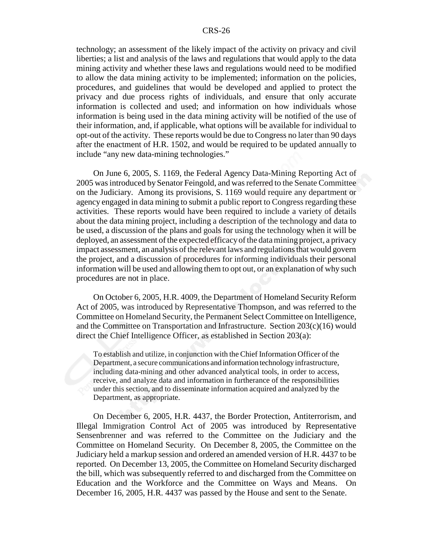technology; an assessment of the likely impact of the activity on privacy and civil liberties; a list and analysis of the laws and regulations that would apply to the data mining activity and whether these laws and regulations would need to be modified to allow the data mining activity to be implemented; information on the policies, procedures, and guidelines that would be developed and applied to protect the privacy and due process rights of individuals, and ensure that only accurate information is collected and used; and information on how individuals whose information is being used in the data mining activity will be notified of the use of their information, and, if applicable, what options will be available for individual to opt-out of the activity. These reports would be due to Congress no later than 90 days after the enactment of H.R. 1502, and would be required to be updated annually to include "any new data-mining technologies."

On June 6, 2005, S. 1169, the Federal Agency Data-Mining Reporting Act of 2005 was introduced by Senator Feingold, and was referred to the Senate Committee on the Judiciary. Among its provisions, S. 1169 would require any department or agency engaged in data mining to submit a public report to Congress regarding these activities. These reports would have been required to include a variety of details about the data mining project, including a description of the technology and data to be used, a discussion of the plans and goals for using the technology when it will be deployed, an assessment of the expected efficacy of the data mining project, a privacy impact assessment, an analysis of the relevant laws and regulations that would govern the project, and a discussion of procedures for informing individuals their personal information will be used and allowing them to opt out, or an explanation of why such procedures are not in place.

On October 6, 2005, H.R. 4009, the Department of Homeland Security Reform Act of 2005, was introduced by Representative Thompson, and was referred to the Committee on Homeland Security, the Permanent Select Committee on Intelligence, and the Committee on Transportation and Infrastructure. Section 203(c)(16) would direct the Chief Intelligence Officer, as established in Section 203(a):

To establish and utilize, in conjunction with the Chief Information Officer of the Department, a secure communications and information technology infrastructure, including data-mining and other advanced analytical tools, in order to access, receive, and analyze data and information in furtherance of the responsibilities under this section, and to disseminate information acquired and analyzed by the Department, as appropriate.

On December 6, 2005, H.R. 4437, the Border Protection, Antiterrorism, and Illegal Immigration Control Act of 2005 was introduced by Representative Sensenbrenner and was referred to the Committee on the Judiciary and the Committee on Homeland Security. On December 8, 2005, the Committee on the Judiciary held a markup session and ordered an amended version of H.R. 4437 to be reported. On December 13, 2005, the Committee on Homeland Security discharged the bill, which was subsequently referred to and discharged from the Committee on Education and the Workforce and the Committee on Ways and Means. On December 16, 2005, H.R. 4437 was passed by the House and sent to the Senate.